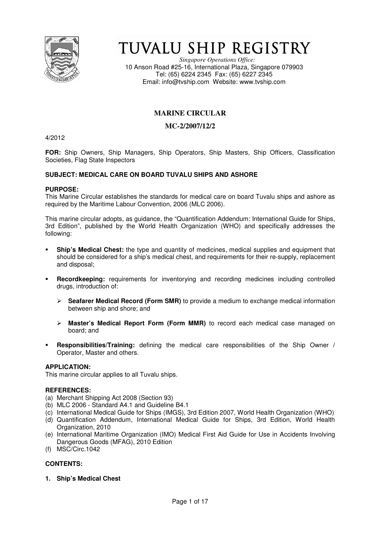

# TUVALU SHIP REGISTRY

*Singapore Operations Office:* 10 Anson Road #25-16, International Plaza, Singapore 079903 Tel: (65) 6224 2345 Fax: (65) 6227 2345 Email: info@tvship.com Website: www.tvship.com

# **MARINE CIRCULAR**

# **MC-2/2007/12/2**

4/2012

**FOR:** Ship Owners, Ship Managers, Ship Operators, Ship Masters, Ship Officers, Classification Societies, Flag State Inspectors

## **SUBJECT: MEDICAL CARE ON BOARD TUVALU SHIPS AND ASHORE**

#### **PURPOSE:**

This Marine Circular establishes the standards for medical care on board Tuvalu ships and ashore as required by the Maritime Labour Convention, 2006 (MLC 2006).

This marine circular adopts, as guidance, the "Quantification Addendum: International Guide for Ships, 3rd Edition", published by the World Health Organization (WHO) and specifically addresses the following:

- **Ship's Medical Chest:** the type and quantity of medicines, medical supplies and equipment that should be considered for a ship's medical chest, and requirements for their re-supply, replacement and disposal;
- **Recordkeeping:** requirements for inventorying and recording medicines including controlled drugs, introduction of:
	- > Seafarer Medical Record (Form SMR) to provide a medium to exchange medical information between ship and shore; and
	- $\triangleright$  **Master's Medical Report Form (Form MMR)** to record each medical case managed on board; and
- **Responsibilities/Training:** defining the medical care responsibilities of the Ship Owner **/**  Operator, Master and others.

## **APPLICATION:**

This marine circular applies to all Tuvalu ships.

#### **REFERENCES:**

- (a) Merchant Shipping Act 2008 (Section 93)
- (b) MLC 2006 Standard A4.1 and Guideline B4.1
- (c) International Medical Guide for Ships (IMGS), 3rd Edition 2007, World Health Organization (WHO)
- (d) Quantification Addendum, International Medical Guide for Ships, 3rd Edition, World Health Organization, 2010
- (e) International Maritime Organization (IMO) Medical First Aid Guide for Use in Accidents Involving Dangerous Goods (MFAG), 2010 Edition
- (f) MSC/Circ.1042

## **CONTENTS:**

**1. Ship's Medical Chest**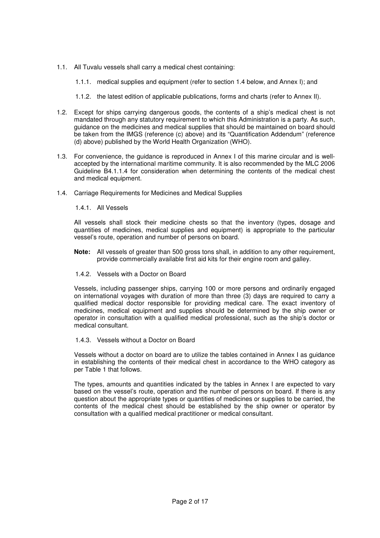- 1.1. All Tuvalu vessels shall carry a medical chest containing:
	- 1.1.1. medical supplies and equipment (refer to section 1.4 below, and Annex I); and
	- 1.1.2. the latest edition of applicable publications, forms and charts (refer to Annex II).
- 1.2. Except for ships carrying dangerous goods, the contents of a ship's medical chest is not mandated through any statutory requirement to which this Administration is a party. As such, guidance on the medicines and medical supplies that should be maintained on board should be taken from the IMGS (reference (c) above) and its "Quantification Addendum" (reference (d) above) published by the World Health Organization (WHO).
- 1.3. For convenience, the guidance is reproduced in Annex I of this marine circular and is wellaccepted by the international maritime community. It is also recommended by the MLC 2006 Guideline B4.1.1.4 for consideration when determining the contents of the medical chest and medical equipment.
- 1.4. Carriage Requirements for Medicines and Medical Supplies

### 1.4.1. All Vessels

All vessels shall stock their medicine chests so that the inventory (types, dosage and quantities of medicines, medical supplies and equipment) is appropriate to the particular vessel's route, operation and number of persons on board.

- **Note:** All vessels of greater than 500 gross tons shall, in addition to any other requirement, provide commercially available first aid kits for their engine room and galley.
- 1.4.2. Vessels with a Doctor on Board

Vessels, including passenger ships, carrying 100 or more persons and ordinarily engaged on international voyages with duration of more than three (3) days are required to carry a qualified medical doctor responsible for providing medical care. The exact inventory of medicines, medical equipment and supplies should be determined by the ship owner or operator in consultation with a qualified medical professional, such as the ship's doctor or medical consultant.

1.4.3. Vessels without a Doctor on Board

Vessels without a doctor on board are to utilize the tables contained in Annex I as guidance in establishing the contents of their medical chest in accordance to the WHO category as per Table 1 that follows.

The types, amounts and quantities indicated by the tables in Annex I are expected to vary based on the vessel's route, operation and the number of persons on board. If there is any question about the appropriate types or quantities of medicines or supplies to be carried, the contents of the medical chest should be established by the ship owner or operator by consultation with a qualified medical practitioner or medical consultant.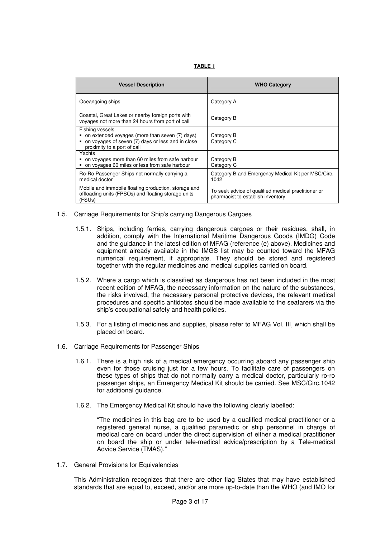| <b>Vessel Description</b>                                                                                                                             | <b>WHO Category</b>                                                                      |
|-------------------------------------------------------------------------------------------------------------------------------------------------------|------------------------------------------------------------------------------------------|
| Oceangoing ships                                                                                                                                      | Category A                                                                               |
| Coastal, Great Lakes or nearby foreign ports with<br>voyages not more than 24 hours from port of call                                                 | Category B                                                                               |
| Fishing vessels<br>on extended voyages (more than seven (7) days)<br>on voyages of seven (7) days or less and in close<br>proximity to a port of call | Category B<br>Category C                                                                 |
| Yachts<br>on voyages more than 60 miles from safe harbour<br>on voyages 60 miles or less from safe harbour                                            | Category B<br>Category C                                                                 |
| Ro-Ro Passenger Ships not normally carrying a<br>medical doctor                                                                                       | Category B and Emergency Medical Kit per MSC/Circ.<br>1042                               |
| Mobile and immobile floating production, storage and<br>offloading units (FPSOs) and floating storage units<br>(FSUs)                                 | To seek advice of qualified medical practitioner or<br>pharmacist to establish inventory |

- 1.5. Carriage Requirements for Ship's carrying Dangerous Cargoes
	- 1.5.1. Ships, including ferries, carrying dangerous cargoes or their residues, shall, in addition, comply with the International Maritime Dangerous Goods (IMDG) Code and the guidance in the latest edition of MFAG (reference (e) above). Medicines and equipment already available in the IMGS list may be counted toward the MFAG numerical requirement, if appropriate. They should be stored and registered together with the regular medicines and medical supplies carried on board.
	- 1.5.2. Where a cargo which is classified as dangerous has not been included in the most recent edition of MFAG, the necessary information on the nature of the substances, the risks involved, the necessary personal protective devices, the relevant medical procedures and specific antidotes should be made available to the seafarers via the ship's occupational safety and health policies.
	- 1.5.3. For a listing of medicines and supplies, please refer to MFAG Vol. III, which shall be placed on board.
- 1.6. Carriage Requirements for Passenger Ships
	- 1.6.1. There is a high risk of a medical emergency occurring aboard any passenger ship even for those cruising just for a few hours. To facilitate care of passengers on these types of ships that do not normally carry a medical doctor, particularly ro-ro passenger ships, an Emergency Medical Kit should be carried. See MSC/Circ.1042 for additional guidance.
	- 1.6.2. The Emergency Medical Kit should have the following clearly labelled:

"The medicines in this bag are to be used by a qualified medical practitioner or a registered general nurse, a qualified paramedic or ship personnel in charge of medical care on board under the direct supervision of either a medical practitioner on board the ship or under tele-medical advice/prescription by a Tele-medical Advice Service (TMAS)."

1.7. General Provisions for Equivalencies

This Administration recognizes that there are other flag States that may have established standards that are equal to, exceed, and/or are more up-to-date than the WHO (and IMO for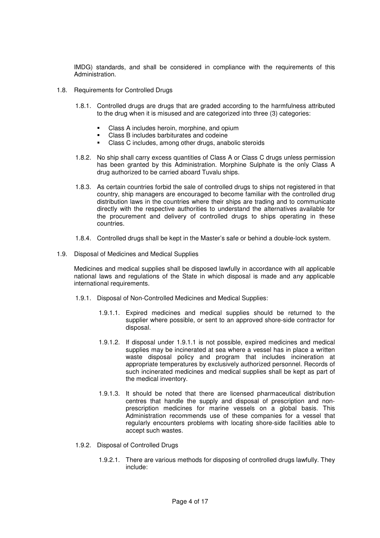IMDG) standards, and shall be considered in compliance with the requirements of this Administration.

- 1.8. Requirements for Controlled Drugs
	- 1.8.1. Controlled drugs are drugs that are graded according to the harmfulness attributed to the drug when it is misused and are categorized into three (3) categories:
		- Class A includes heroin, morphine, and opium
		- Class B includes barbiturates and codeine
		- Class C includes, among other drugs, anabolic steroids
	- 1.8.2. No ship shall carry excess quantities of Class A or Class C drugs unless permission has been granted by this Administration. Morphine Sulphate is the only Class A drug authorized to be carried aboard Tuvalu ships.
	- 1.8.3. As certain countries forbid the sale of controlled drugs to ships not registered in that country, ship managers are encouraged to become familiar with the controlled drug distribution laws in the countries where their ships are trading and to communicate directly with the respective authorities to understand the alternatives available for the procurement and delivery of controlled drugs to ships operating in these countries.
	- 1.8.4. Controlled drugs shall be kept in the Master's safe or behind a double-lock system.
- 1.9. Disposal of Medicines and Medical Supplies

Medicines and medical supplies shall be disposed lawfully in accordance with all applicable national laws and regulations of the State in which disposal is made and any applicable international requirements.

- 1.9.1. Disposal of Non-Controlled Medicines and Medical Supplies:
	- 1.9.1.1. Expired medicines and medical supplies should be returned to the supplier where possible, or sent to an approved shore-side contractor for disposal.
	- 1.9.1.2. If disposal under 1.9.1.1 is not possible, expired medicines and medical supplies may be incinerated at sea where a vessel has in place a written waste disposal policy and program that includes incineration at appropriate temperatures by exclusively authorized personnel. Records of such incinerated medicines and medical supplies shall be kept as part of the medical inventory.
	- 1.9.1.3. It should be noted that there are licensed pharmaceutical distribution centres that handle the supply and disposal of prescription and nonprescription medicines for marine vessels on a global basis. This Administration recommends use of these companies for a vessel that regularly encounters problems with locating shore-side facilities able to accept such wastes.
- 1.9.2. Disposal of Controlled Drugs
	- 1.9.2.1. There are various methods for disposing of controlled drugs lawfully. They include: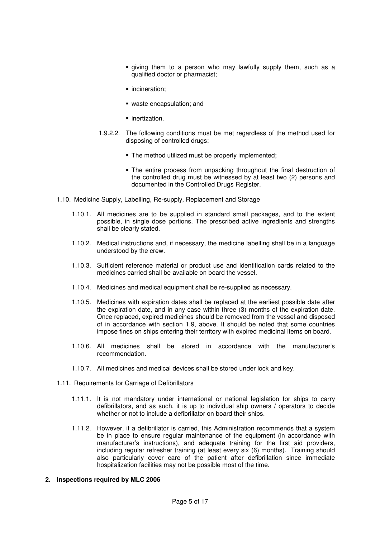- giving them to a person who may lawfully supply them, such as a qualified doctor or pharmacist;
- **·** incineration:
- waste encapsulation; and
- **·** inertization.
- 1.9.2.2. The following conditions must be met regardless of the method used for disposing of controlled drugs:
	- **The method utilized must be properly implemented;**
	- The entire process from unpacking throughout the final destruction of the controlled drug must be witnessed by at least two (2) persons and documented in the Controlled Drugs Register.
- 1.10. Medicine Supply, Labelling, Re-supply, Replacement and Storage
	- 1.10.1. All medicines are to be supplied in standard small packages, and to the extent possible, in single dose portions. The prescribed active ingredients and strengths shall be clearly stated.
	- 1.10.2. Medical instructions and, if necessary, the medicine labelling shall be in a language understood by the crew.
	- 1.10.3. Sufficient reference material or product use and identification cards related to the medicines carried shall be available on board the vessel.
	- 1.10.4. Medicines and medical equipment shall be re-supplied as necessary.
	- 1.10.5. Medicines with expiration dates shall be replaced at the earliest possible date after the expiration date, and in any case within three (3) months of the expiration date. Once replaced, expired medicines should be removed from the vessel and disposed of in accordance with section 1.9, above. It should be noted that some countries impose fines on ships entering their territory with expired medicinal items on board.
	- 1.10.6. All medicines shall be stored in accordance with the manufacturer's recommendation.
	- 1.10.7. All medicines and medical devices shall be stored under lock and key.
- 1.11. Requirements for Carriage of Defibrillators
	- 1.11.1. It is not mandatory under international or national legislation for ships to carry defibrillators, and as such, it is up to individual ship owners / operators to decide whether or not to include a defibrillator on board their ships.
	- 1.11.2. However, if a defibrillator is carried, this Administration recommends that a system be in place to ensure regular maintenance of the equipment (in accordance with manufacturer's instructions), and adequate training for the first aid providers, including regular refresher training (at least every six (6) months). Training should also particularly cover care of the patient after defibrillation since immediate hospitalization facilities may not be possible most of the time.
- **2. Inspections required by MLC 2006**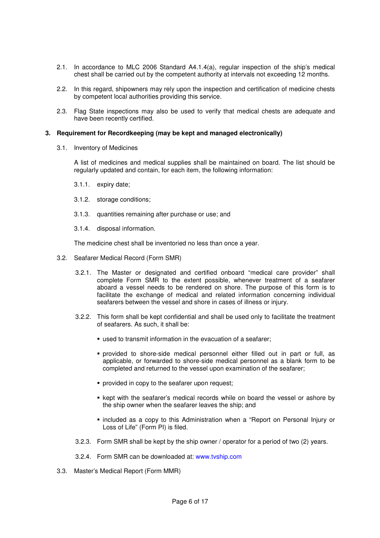- 2.1. In accordance to MLC 2006 Standard A4.1.4(a), regular inspection of the ship's medical chest shall be carried out by the competent authority at intervals not exceeding 12 months.
- 2.2. In this regard, shipowners may rely upon the inspection and certification of medicine chests by competent local authorities providing this service.
- 2.3. Flag State inspections may also be used to verify that medical chests are adequate and have been recently certified.

#### **3. Requirement for Recordkeeping (may be kept and managed electronically)**

3.1. Inventory of Medicines

A list of medicines and medical supplies shall be maintained on board. The list should be regularly updated and contain, for each item, the following information:

- 3.1.1. expiry date;
- 3.1.2. storage conditions;
- 3.1.3. quantities remaining after purchase or use; and
- 3.1.4. disposal information.

The medicine chest shall be inventoried no less than once a year.

- 3.2. Seafarer Medical Record (Form SMR)
	- 3.2.1. The Master or designated and certified onboard "medical care provider" shall complete Form SMR to the extent possible, whenever treatment of a seafarer aboard a vessel needs to be rendered on shore. The purpose of this form is to facilitate the exchange of medical and related information concerning individual seafarers between the vessel and shore in cases of illness or injury.
	- 3.2.2. This form shall be kept confidential and shall be used only to facilitate the treatment of seafarers. As such, it shall be:
		- used to transmit information in the evacuation of a seafarer;
		- provided to shore-side medical personnel either filled out in part or full, as applicable, or forwarded to shore-side medical personnel as a blank form to be completed and returned to the vessel upon examination of the seafarer;
		- **PEDECI** provided in copy to the seafarer upon request;
		- **Exect with the seafarer's medical records while on board the vessel or ashore by** the ship owner when the seafarer leaves the ship; and
		- included as a copy to this Administration when a "Report on Personal Injury or Loss of Life" (Form PI) is filed.
	- 3.2.3. Form SMR shall be kept by the ship owner / operator for a period of two (2) years.
	- 3.2.4. Form SMR can be downloaded at: www.tvship.com
- 3.3. Master's Medical Report (Form MMR)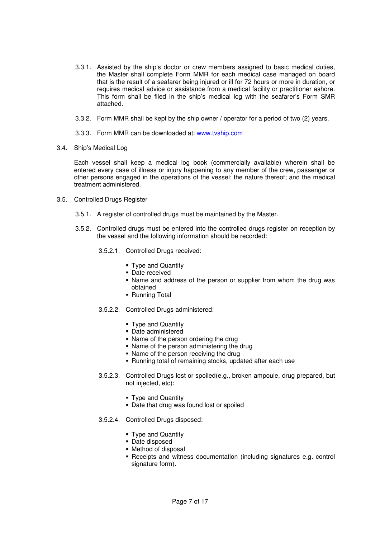- 3.3.1. Assisted by the ship's doctor or crew members assigned to basic medical duties, the Master shall complete Form MMR for each medical case managed on board that is the result of a seafarer being injured or ill for 72 hours or more in duration, or requires medical advice or assistance from a medical facility or practitioner ashore. This form shall be filed in the ship's medical log with the seafarer's Form SMR attached.
- 3.3.2. Form MMR shall be kept by the ship owner / operator for a period of two (2) years.
- 3.3.3. Form MMR can be downloaded at: www.tvship.com
- 3.4. Ship's Medical Log

Each vessel shall keep a medical log book (commercially available) wherein shall be entered every case of illness or injury happening to any member of the crew, passenger or other persons engaged in the operations of the vessel; the nature thereof; and the medical treatment administered.

- 3.5. Controlled Drugs Register
	- 3.5.1. A register of controlled drugs must be maintained by the Master.
	- 3.5.2. Controlled drugs must be entered into the controlled drugs register on reception by the vessel and the following information should be recorded:
		- 3.5.2.1. Controlled Drugs received:
			- Type and Quantity
			- Date received
			- Name and address of the person or supplier from whom the drug was obtained
			- **Running Total**
		- 3.5.2.2. Controlled Drugs administered:
			- Type and Quantity
			- Date administered
			- Name of the person ordering the drug
			- Name of the person administering the drug
			- Name of the person receiving the drug
			- Running total of remaining stocks, updated after each use
		- 3.5.2.3. Controlled Drugs lost or spoiled(e.g., broken ampoule, drug prepared, but not injected, etc):
			- Type and Quantity
			- Date that drug was found lost or spoiled
		- 3.5.2.4. Controlled Drugs disposed:
			- **Type and Quantity**
			- Date disposed
			- Method of disposal
			- Receipts and witness documentation (including signatures e.g. control signature form).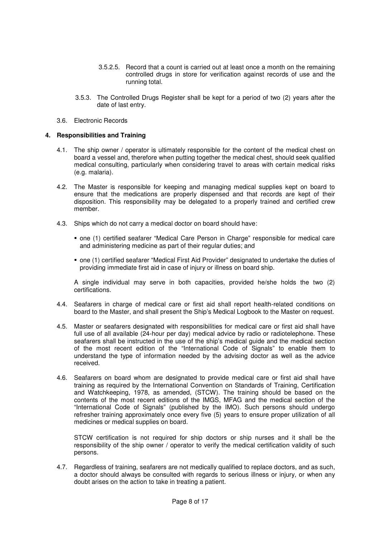- 3.5.2.5. Record that a count is carried out at least once a month on the remaining controlled drugs in store for verification against records of use and the running total.
- 3.5.3. The Controlled Drugs Register shall be kept for a period of two (2) years after the date of last entry.
- 3.6. Electronic Records

### **4. Responsibilities and Training**

- 4.1. The ship owner / operator is ultimately responsible for the content of the medical chest on board a vessel and, therefore when putting together the medical chest, should seek qualified medical consulting, particularly when considering travel to areas with certain medical risks (e.g. malaria).
- 4.2. The Master is responsible for keeping and managing medical supplies kept on board to ensure that the medications are properly dispensed and that records are kept of their disposition. This responsibility may be delegated to a properly trained and certified crew member.
- 4.3. Ships which do not carry a medical doctor on board should have:
	- one (1) certified seafarer "Medical Care Person in Charge" responsible for medical care and administering medicine as part of their regular duties; and
	- one (1) certified seafarer "Medical First Aid Provider" designated to undertake the duties of providing immediate first aid in case of injury or illness on board ship.

A single individual may serve in both capacities, provided he/she holds the two (2) certifications.

- 4.4. Seafarers in charge of medical care or first aid shall report health-related conditions on board to the Master, and shall present the Ship's Medical Logbook to the Master on request.
- 4.5. Master or seafarers designated with responsibilities for medical care or first aid shall have full use of all available (24-hour per day) medical advice by radio or radiotelephone. These seafarers shall be instructed in the use of the ship's medical guide and the medical section of the most recent edition of the "International Code of Signals" to enable them to understand the type of information needed by the advising doctor as well as the advice received.
- 4.6. Seafarers on board whom are designated to provide medical care or first aid shall have training as required by the International Convention on Standards of Training, Certification and Watchkeeping, 1978, as amended, (STCW). The training should be based on the contents of the most recent editions of the IMGS, MFAG and the medical section of the "International Code of Signals" (published by the IMO). Such persons should undergo refresher training approximately once every five (5) years to ensure proper utilization of all medicines or medical supplies on board.

STCW certification is not required for ship doctors or ship nurses and it shall be the responsibility of the ship owner / operator to verify the medical certification validity of such persons.

4.7. Regardless of training, seafarers are not medically qualified to replace doctors, and as such, a doctor should always be consulted with regards to serious illness or injury, or when any doubt arises on the action to take in treating a patient.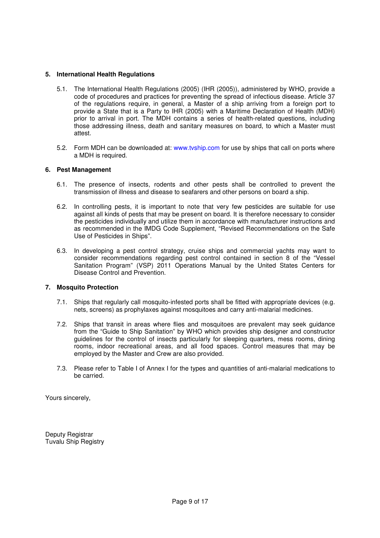## **5. International Health Regulations**

- 5.1. The International Health Regulations (2005) (IHR (2005)), administered by WHO, provide a code of procedures and practices for preventing the spread of infectious disease. Article 37 of the regulations require, in general, a Master of a ship arriving from a foreign port to provide a State that is a Party to IHR (2005) with a Maritime Declaration of Health (MDH) prior to arrival in port. The MDH contains a series of health-related questions, including those addressing illness, death and sanitary measures on board, to which a Master must attest.
- 5.2. Form MDH can be downloaded at: www.tvship.com for use by ships that call on ports where a MDH is required.

#### **6. Pest Management**

- 6.1. The presence of insects, rodents and other pests shall be controlled to prevent the transmission of illness and disease to seafarers and other persons on board a ship.
- 6.2. In controlling pests, it is important to note that very few pesticides are suitable for use against all kinds of pests that may be present on board. It is therefore necessary to consider the pesticides individually and utilize them in accordance with manufacturer instructions and as recommended in the IMDG Code Supplement, "Revised Recommendations on the Safe Use of Pesticides in Ships".
- 6.3. In developing a pest control strategy, cruise ships and commercial yachts may want to consider recommendations regarding pest control contained in section 8 of the "Vessel Sanitation Program" (VSP) 2011 Operations Manual by the United States Centers for Disease Control and Prevention.

#### **7. Mosquito Protection**

- 7.1. Ships that regularly call mosquito-infested ports shall be fitted with appropriate devices (e.g. nets, screens) as prophylaxes against mosquitoes and carry anti-malarial medicines.
- 7.2. Ships that transit in areas where flies and mosquitoes are prevalent may seek guidance from the "Guide to Ship Sanitation" by WHO which provides ship designer and constructor guidelines for the control of insects particularly for sleeping quarters, mess rooms, dining rooms, indoor recreational areas, and all food spaces. Control measures that may be employed by the Master and Crew are also provided.
- 7.3. Please refer to Table I of Annex I for the types and quantities of anti-malarial medications to be carried.

Yours sincerely,

Deputy Registrar Tuvalu Ship Registry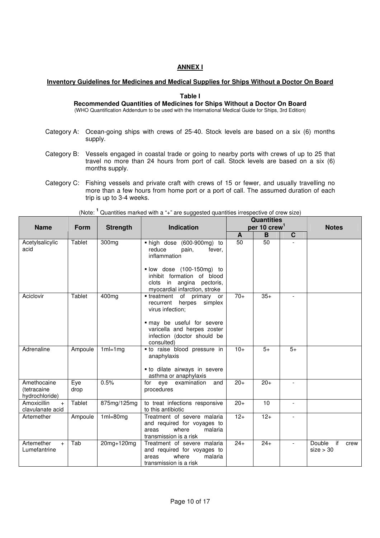# **ANNEX I**

# **Inventory Guidelines for Medicines and Medical Supplies for Ships Without a Doctor On Board**

#### **Table I**

#### **Recommended Quantities of Medicines for Ships Without a Doctor On Board** (WHO Quantification Addendum to be used with the International Medical Guide for Ships, 3rd Edition)

- 
- Category A: Ocean-going ships with crews of 25-40. Stock levels are based on a six (6) months supply.
- Category B: Vessels engaged in coastal trade or going to nearby ports with crews of up to 25 that travel no more than 24 hours from port of call. Stock levels are based on a six (6) months supply.
- Category C: Fishing vessels and private craft with crews of 15 or fewer, and usually travelling no more than a few hours from home port or a port of call. The assumed duration of each trip is up to 3-4 weeks.

|                                              |             |                 |                                                                                                                       |                          | <b>Quantities</b> |             |                                   |
|----------------------------------------------|-------------|-----------------|-----------------------------------------------------------------------------------------------------------------------|--------------------------|-------------------|-------------|-----------------------------------|
| <b>Name</b>                                  | <b>Form</b> | <b>Strength</b> | <b>Indication</b>                                                                                                     | per 10 crew <sup>1</sup> |                   |             | <b>Notes</b>                      |
|                                              |             |                 |                                                                                                                       | A                        | B                 | $\mathbf c$ |                                   |
| Acetylsalicylic<br>acid                      | Tablet      | 300mg           | high dose (600-900mg) to<br>reduce<br>fever,<br>pain,<br>inflammation                                                 | 50                       | $\overline{50}$   |             |                                   |
|                                              |             |                 | · low dose (100-150mg) to<br>inhibit formation of blood<br>clots in angina pectoris,<br>myocardial infarction, stroke |                          |                   |             |                                   |
| Aciclovir                                    | Tablet      | 400mg           | • treatment of<br>primary or<br>herpes<br>recurrent<br>simplex<br>virus infection:                                    | $70+$                    | $35+$             |             |                                   |
|                                              |             |                 | · may be useful for severe<br>varicella and herpes zoster<br>infection (doctor should be<br>consulted)                |                          |                   |             |                                   |
| Adrenaline                                   | Ampoule     | $1ml=1mg$       | · to raise blood pressure in<br>anaphylaxis<br>• to dilate airways in severe<br>asthma or anaphylaxis                 | $10+$                    | $5+$              | $5+$        |                                   |
| Amethocaine<br>(tetracaine<br>hydrochloride) | Eye<br>drop | 0.5%            | eye examination<br>and<br>for<br>procedures                                                                           | $20+$                    | $20+$             |             |                                   |
| Amoxicillin<br>$+$<br>clavulanate acid       | Tablet      | 875mg/125mg     | to treat infections responsive<br>to this antibiotic                                                                  | $20+$                    | 10                |             |                                   |
| Artemether                                   | Ampoule     | $1ml = 80mg$    | Treatment of severe malaria<br>and required for voyages to<br>where<br>areas<br>malaria<br>transmission is a risk     | $12+$                    | $12+$             |             |                                   |
| Artemether<br>$+$<br>Lumefantrine            | Tab         | 20mg+120mg      | Treatment of severe malaria<br>and required for voyages to<br>where<br>malaria<br>areas<br>transmission is a risk     | $24+$                    | $24+$             |             | if<br>Double<br>crew<br>size > 30 |

(Note: **<sup>1</sup>** Quantities marked with a "+" are suggested quantities irrespective of crew size)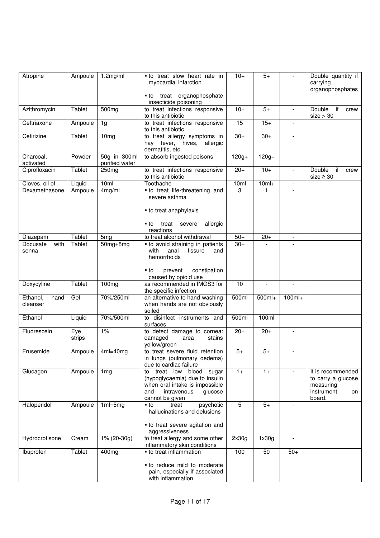| Atropine                     | Ampoule       | 1.2mg/ml                       | • to treat slow heart rate in<br>myocardial infarction                                                                                                    | $10+$          | $5+$     |                          | Double quantity if<br>carrying<br>organophosphates                                 |
|------------------------------|---------------|--------------------------------|-----------------------------------------------------------------------------------------------------------------------------------------------------------|----------------|----------|--------------------------|------------------------------------------------------------------------------------|
|                              |               |                                | • to treat organophosphate<br>insecticide poisoning                                                                                                       |                |          |                          |                                                                                    |
| Azithromycin                 | Tablet        | 500mg                          | to treat infections responsive<br>to this antibiotic                                                                                                      | $10+$          | $5+$     |                          | if<br>Double<br>crew<br>size > 30                                                  |
| Ceftriaxone                  | Ampoule       | 1g                             | to treat infections responsive<br>to this antibiotic                                                                                                      | 15             | $15+$    | $\mathbf{r}$             |                                                                                    |
| Cetirizine                   | Tablet        | 10 <sub>mg</sub>               | to treat allergy symptoms in<br>hay fever, hives, allergic<br>dermatitis, etc.                                                                            | $30+$          | $30+$    | $\overline{\phantom{a}}$ |                                                                                    |
| Charcoal,<br>activated       | Powder        | 50g in 300ml<br>purified water | to absorb ingested poisons                                                                                                                                | $120g +$       | $120g +$ | $\overline{\phantom{a}}$ |                                                                                    |
| Ciprofloxacin                | Tablet        | 250mg                          | to treat infections responsive<br>to this antibiotic                                                                                                      | $20+$          | $10+$    |                          | if<br>Double<br>crew<br>$size \geq 30$                                             |
| Cloves, oil of               | Liquid        | 10ml                           | Toothache                                                                                                                                                 | 10ml           | $10ml+$  | $\overline{\phantom{a}}$ |                                                                                    |
| Dexamethasone                | Ampoule       | 4mg/ml                         | • to treat life-threatening and<br>severe asthma                                                                                                          | 3              | 1        |                          |                                                                                    |
|                              |               |                                | • to treat anaphylaxis<br>treat severe<br>allergic<br>■ to                                                                                                |                |          |                          |                                                                                    |
|                              |               |                                | reactions                                                                                                                                                 |                |          |                          |                                                                                    |
| Diazepam                     | <b>Tablet</b> | 5 <sub>mg</sub>                | to treat alcohol withdrawal                                                                                                                               | $50+$          | $20+$    | $\overline{\phantom{a}}$ |                                                                                    |
| with<br>Docusate<br>senna    | Tablet        | $50mg + 8mg$                   | • to avoid straining in patients<br>with<br>anal<br>fissure<br>and<br>hemorrhoids                                                                         | $30+$          |          |                          |                                                                                    |
|                              |               |                                | prevent<br>constipation<br>■ to<br>caused by opioid use                                                                                                   |                |          |                          |                                                                                    |
| Doxycyline                   | Tablet        | 100mg                          | as recommended in IMGS3 for<br>the specific infection                                                                                                     | 10             |          |                          |                                                                                    |
| Ethanol,<br>hand<br>cleanser | Gel           | 70%/250ml                      | an alternative to hand-washing<br>when hands are not obviously<br>soiled                                                                                  | 500ml          | 500ml+   | $100ml+$                 |                                                                                    |
| Ethanol                      | Liquid        | 70%/500ml                      | to disinfect instruments and<br>surfaces                                                                                                                  | 500ml          | 100ml    | $\blacksquare$           |                                                                                    |
| Fluorescein                  | Eye<br>strips | 1%                             | to detect damage to cornea:<br>damaged<br>area<br>stains<br>yellow/green                                                                                  | $20+$          | $20+$    |                          |                                                                                    |
| Frusemide                    | Ampoule       | $4ml=40mg$                     | to treat severe fluid retention<br>in lungs (pulmonary oedema)<br>due to cardiac failure                                                                  | $5+$           | $5+$     | $\overline{\phantom{a}}$ |                                                                                    |
| Glucagon                     | Ampoule       | 1 <sub>mg</sub>                | blood sugar<br>to<br>treat<br>low<br>(hypoglycaemia) due to insulin<br>when oral intake is impossible<br>intravenous<br>and<br>glucose<br>cannot be given | $1+$           | $1+$     |                          | It is recommended<br>to carry a glucose<br>measuring<br>instrument<br>on<br>board. |
| Haloperidol                  | Ampoule       | $1ml = 5mg$                    | treat<br>psychotic<br>$\cdot$ to<br>hallucinations and delusions                                                                                          | $\overline{5}$ | $5+$     |                          |                                                                                    |
|                              |               |                                | • to treat severe agitation and<br>aggressiveness                                                                                                         |                |          |                          |                                                                                    |
| Hydrocrotisone               | Cream         | 1% (20-30g)                    | to treat allergy and some other<br>inflammatory skin conditions                                                                                           | 2x30g          | 1x30g    |                          |                                                                                    |
| Ibuprofen                    | Tablet        | 400mg                          | • to treat inflammation<br>• to reduce mild to moderate<br>pain, especially if associated                                                                 | 100            | 50       | $50+$                    |                                                                                    |
|                              |               |                                | with inflammation                                                                                                                                         |                |          |                          |                                                                                    |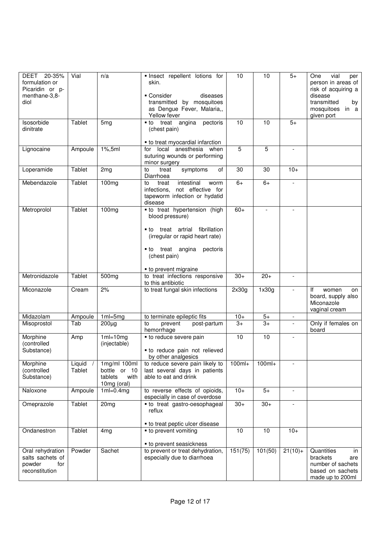| DEET 20-35%<br>formulation or<br>Picaridin or p-<br>menthane-3,8-<br>diol | Vial               | n/a                                                            | · Insect repellent lotions for<br>skin.<br>• Consider<br>diseases<br>transmitted by mosquitoes<br>as Dengue Fever, Malaria,,<br>Yellow fever                                                  | 10       | 10                       | $5+$                     | One<br>vial<br>per<br>person in areas of<br>risk of acquiring a<br>disease<br>transmitted<br>by<br>mosquitoes in a<br>given port |
|---------------------------------------------------------------------------|--------------------|----------------------------------------------------------------|-----------------------------------------------------------------------------------------------------------------------------------------------------------------------------------------------|----------|--------------------------|--------------------------|----------------------------------------------------------------------------------------------------------------------------------|
| Isosorbide<br>dinitrate                                                   | Tablet             | 5mg                                                            | • to treat angina pectoris<br>(chest pain)                                                                                                                                                    | 10       | 10                       | $5+$                     |                                                                                                                                  |
| Lignocaine                                                                | Ampoule            | $1\%$ , 5ml                                                    | • to treat myocardial infarction<br>for local anesthesia when<br>suturing wounds or performing<br>minor surgery                                                                               | 5        | 5                        | $\overline{\phantom{a}}$ |                                                                                                                                  |
| Loperamide                                                                | Tablet             | 2 <sub>mg</sub>                                                | of<br>symptoms<br>to<br>treat<br>Diarrhoea                                                                                                                                                    | 30       | 30                       | $10+$                    |                                                                                                                                  |
| Mebendazole                                                               | Tablet             | 100mg                                                          | treat<br>intestinal<br>to<br>worm<br>not effective for<br>infections,<br>tapeworm infection or hydatid<br>disease                                                                             | $6+$     | $6+$                     | $\overline{\phantom{a}}$ |                                                                                                                                  |
| Metroprolol                                                               | Tablet             | 100mg                                                          | • to treat hypertension (high<br>blood pressure)<br>• to treat artrial fibrillation<br>(irregular or rapid heart rate)<br>• to treat angina pectoris<br>(chest pain)<br>• to prevent migraine | $60+$    | $\overline{\phantom{a}}$ |                          |                                                                                                                                  |
| Metronidazole                                                             | Tablet             | 500mg                                                          | to treat infections responsive<br>to this antibiotic                                                                                                                                          | $30+$    | $20+$                    | $\overline{\phantom{a}}$ |                                                                                                                                  |
| Miconazole                                                                | Cream              | 2%                                                             | to treat fungal skin infections                                                                                                                                                               | 2x30g    | 1x30g                    | $\overline{\phantom{a}}$ | lf<br>women<br>on<br>board, supply also<br>Miconazole<br>vaginal cream                                                           |
| Midazolam                                                                 | Ampoule            | $1ml = 5mg$                                                    | to terminate epileptic fits                                                                                                                                                                   | $10+$    | $5+$                     |                          |                                                                                                                                  |
| Misoprostol                                                               | Tab                | $200\mug$                                                      | to<br>prevent<br>post-partum<br>hemorrhage                                                                                                                                                    | $3+$     | $\overline{3+}$          |                          | Only if females on<br>board                                                                                                      |
| Morphine<br>(controlled<br>Substance)                                     | Amp                | $1ml=10mg$<br>(injectable)                                     | • to reduce severe pain<br>• to reduce pain not relieved<br>by other analgesics                                                                                                               | 10       | 10                       | $\overline{\phantom{a}}$ |                                                                                                                                  |
| Morphine<br>(controlled<br>Substance)                                     | Liquid /<br>Tablet | 1mg/ml 100ml<br>bottle or 10<br>tablets<br>with<br>10mg (oral) | to reduce severe pain likely to<br>last several days in patients<br>able to eat and drink                                                                                                     | $100ml+$ | 100ml+                   |                          |                                                                                                                                  |
| Naloxone                                                                  | Ampoule            | $1ml=0.4mg$                                                    | to reverse effects of opioids,<br>especially in case of overdose                                                                                                                              | $10+$    | $5+$                     | $\overline{\phantom{a}}$ |                                                                                                                                  |
| Omeprazole                                                                | Tablet             | 20 <sub>mg</sub>                                               | • to treat gastro-oesophageal<br>reflux<br>• to treat peptic ulcer disease                                                                                                                    | $30+$    | $30+$                    |                          |                                                                                                                                  |
| Ondanestron                                                               | Tablet             | 4 <sub>mg</sub>                                                | • to prevent vomiting<br>• to prevent seasickness                                                                                                                                             | 10       | 10                       | $10+$                    |                                                                                                                                  |
| Oral rehydration<br>salts sachets of<br>powder<br>for<br>reconstitution   | Powder             | Sachet                                                         | to prevent or treat dehydration,<br>especially due to diarrhoea                                                                                                                               | 151(75)  | 101(50)                  | $21(10)+$                | Quantities<br>in<br>brackets<br>are<br>number of sachets<br>based on sachets<br>made up to 200ml                                 |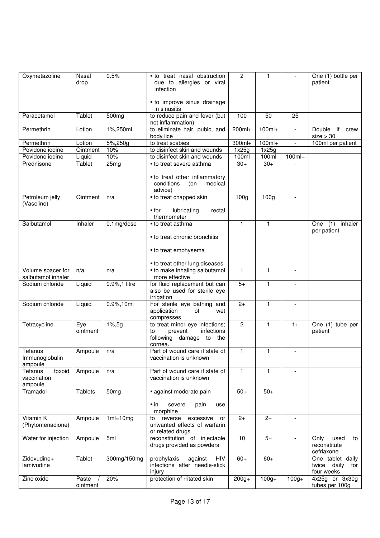| Oxymetazoline                               | Nasal<br>drop     | 0.5%             | • to treat nasal obstruction<br>due to allergies or viral<br>infection                               | $\overline{2}$   | 1                |                          | One (1) bottle per<br>patient                           |
|---------------------------------------------|-------------------|------------------|------------------------------------------------------------------------------------------------------|------------------|------------------|--------------------------|---------------------------------------------------------|
|                                             |                   |                  | • to improve sinus drainage<br>in sinusitis                                                          |                  |                  |                          |                                                         |
| Paracetamol                                 | Tablet            | 500mg            | to reduce pain and fever (but<br>not inflammation)                                                   | 100              | 50               | 25                       |                                                         |
| Permethrin                                  | Lotion            | 1%,250ml         | to eliminate hair, pubic, and<br>body lice                                                           | 200ml+           | $100ml+$         | $\overline{\phantom{a}}$ | Double if crew<br>size > 30                             |
| Permethrin                                  | Lotion            | 5%,250g          | to treat scabies                                                                                     | $300ml+$         | $100ml+$         |                          | 100ml per patient                                       |
| Povidone iodine                             | Ointment          | 10%              | to disinfect skin and wounds                                                                         | 1x25g            | 1x25g            | $\mathcal{L}$            |                                                         |
| Povidone iodine                             | Liquid            | 10%              | to disinfect skin and wounds                                                                         | 100ml            | 100ml            | $100ml+$                 |                                                         |
| Prednisone                                  | Tablet            | 25mg             | • to treat severe asthma<br>• to treat other inflammatory<br>conditions<br>(on<br>medical<br>advice) | $30+$            | $30+$            |                          |                                                         |
| Petroleum jelly<br>(Vaseline)               | Ointment          | n/a              | • to treat chapped skin<br>lubricating<br>$\blacksquare$ for                                         | 100 <sub>g</sub> | 100 <sub>g</sub> | $\overline{a}$           |                                                         |
|                                             |                   |                  | rectal<br>thermometer                                                                                |                  |                  |                          |                                                         |
| Salbutamol                                  | Inhaler           | 0.1mg/dose       | • to treat asthma<br>• to treat chronic bronchitis                                                   | $\mathbf{1}$     | $\mathbf{1}$     |                          | (1)<br>inhaler<br>One<br>per patient                    |
|                                             |                   |                  | • to treat emphysema                                                                                 |                  |                  |                          |                                                         |
|                                             |                   |                  | • to treat other lung diseases                                                                       |                  |                  |                          |                                                         |
| Volume spacer for<br>salbutamol inhaler     | n/a               | n/a              | • to make inhaling salbutamol<br>more effective                                                      | $\mathbf{1}$     | 1                | $\overline{\phantom{a}}$ |                                                         |
| Sodium chloride                             | Liquid            | 0.9%, 1 litre    | for fluid replacement but can<br>also be used for sterile eye<br>irrigation                          | $5+$             | $\mathbf{1}$     | $\overline{\phantom{a}}$ |                                                         |
| Sodium chloride                             | Liquid            | 0.9%,10ml        | For sterile eye bathing and<br>application<br>of<br>wet<br>compresses                                | $2+$             | $\mathbf{1}$     |                          |                                                         |
| Tetracycline                                | Eye<br>ointment   | $1\%, 5g$        | to treat minor eye infections;<br>infections<br>prevent<br>to<br>following damage to the<br>cornea.  | $\overline{2}$   | 1                | $1+$                     | One $(1)$ tube per<br>patient                           |
| Tetanus<br>Immunoglobulin<br>ampoule        | Ampoule           | n/a              | Part of wound care if state of<br>vaccination is unknown                                             | $\mathbf{1}$     | 1                |                          |                                                         |
| Tetanus<br>toxoid<br>vaccination<br>ampoule | Ampoule           | n/a              | Part of wound care if state of<br>vaccination is unknown                                             | $\mathbf{1}$     | $\mathbf{1}$     | $\overline{\phantom{a}}$ |                                                         |
| Tramadol                                    | <b>Tablets</b>    | 50 <sub>mg</sub> | against moderate pain                                                                                | $50+$            | $50+$            |                          |                                                         |
|                                             |                   |                  | $\blacksquare$ in<br>severe<br>pain<br>use<br>morphine                                               |                  |                  |                          |                                                         |
| Vitamin K<br>(Phytomenadione)               | Ampoule           | $1ml=10mg$       | excessive<br>reverse<br>to<br>or<br>unwanted effects of warfarin<br>or related drugs                 | $2+$             | $2+$             | $\mathbf{r}$             |                                                         |
| Water for injection                         | Ampoule           | 5ml              | reconstitution of injectable<br>drugs provided as powders                                            | 10               | $5+$             |                          | Only<br>used<br>to<br>reconstitute<br>cefriaxone        |
| Zidovudine+<br>lamivudine                   | Tablet            | 300mg/150mg      | prophylaxis<br>against<br>HIV<br>infections after needle-stick<br>injury                             | $60+$            | $60+$            | $\overline{\phantom{0}}$ | One tablet daily<br>twice<br>daily<br>for<br>four weeks |
| Zinc oxide                                  | Paste<br>ointment | 20%              | protection of rritated skin                                                                          | $200g+$          | $100g +$         | $100g +$                 | 4x25g or 3x30g<br>tubes per 100g                        |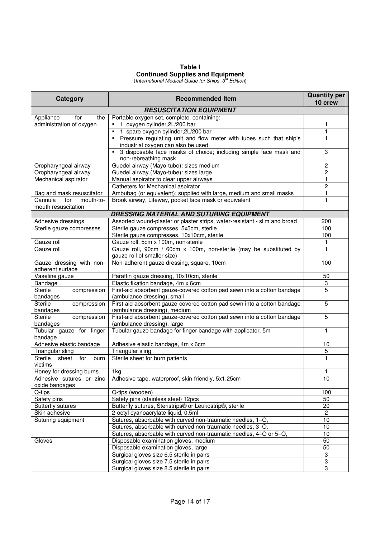# **Table I Continued Supplies and Equipment**

(International Medical Guide for Ships,  $3^{\prime\prime}$  Edition)

| <b>Category</b>                                | <b>Recommended Item</b>                                                                                | <b>Quantity per</b><br>10 crew |
|------------------------------------------------|--------------------------------------------------------------------------------------------------------|--------------------------------|
|                                                | <b>RESUSCITATION EQUIPMENT</b>                                                                         |                                |
| Appliance<br>for<br>the                        | Portable oxygen set, complete, containing:                                                             |                                |
| administration of oxygen                       | " 1 oxygen cylinder, 2L/200 bar                                                                        | 1                              |
|                                                | 1 spare oxygen cylinder, 2L/200 bar                                                                    | 1                              |
|                                                | • Pressure regulating unit and flow meter with tubes such that ship's                                  | 1                              |
|                                                | industrial oxygen can also be used                                                                     |                                |
|                                                | • 3 disposable face masks of choice; including simple face mask and                                    | 3                              |
|                                                | non-rebreathing mask                                                                                   |                                |
| Oropharyngeal airway                           | Guedel airway (Mayo-tube): sizes medium                                                                | $\overline{c}$                 |
| Oropharyngeal airway                           | Guedel airway (Mayo-tube): sizes large                                                                 | $\overline{c}$                 |
| Mechanical aspirator                           | Manual aspirator to clear upper airways                                                                | 1                              |
|                                                | Catheters for Mechanical aspirator                                                                     | $\overline{c}$                 |
| Bag and mask resuscitator                      | Ambubag (or equivalent); supplied with large, medium and small masks                                   | $\mathbf{1}$                   |
| Cannula<br>for<br>mouth-to-                    | Brook airway, Lifeway, pocket face mask or equivalent                                                  | 1                              |
| mouth resuscitation                            |                                                                                                        |                                |
|                                                | DRESSING MATERIAL AND SUTURING EQUIPMENT                                                               |                                |
| Adhesive dressings                             | Assorted wound-plaster or plaster strips, water-resistant - slim and broad                             | 200                            |
| Sterile gauze compresses                       | Sterile gauze compresses, 5x5cm, sterile                                                               | 100                            |
|                                                | Sterile gauze compresses, 10x10cm, sterile                                                             | 100                            |
| Gauze roll                                     | Gauze roll, 5cm x 100m, non-sterile                                                                    | $\mathbf{1}$                   |
| Gauze roll                                     | Gauze roll, 90cm / 60cm x 100m, non-sterile (may be substituted by                                     | 1                              |
|                                                | gauze roll of smaller size)                                                                            |                                |
| Gauze dressing with non-                       | Non-adherent gauze dressing, square, 10cm                                                              | 100                            |
| adherent surface                               |                                                                                                        |                                |
| Vaseline gauze                                 | Paraffin gauze dressing, 10x10cm, sterile                                                              | 50                             |
| Bandage                                        | Elastic fixation bandage, 4m x 6cm                                                                     | 3                              |
| <b>Sterile</b><br>compression<br>bandages      | First-aid absorbent gauze-covered cotton pad sewn into a cotton bandage<br>(ambulance dressing), small | $\overline{5}$                 |
| <b>Sterile</b><br>compression                  | First-aid absorbent gauze-covered cotton pad sewn into a cotton bandage                                | 5                              |
| bandages                                       | (ambulance dressing), medium                                                                           |                                |
| <b>Sterile</b><br>compression                  | First-aid absorbent gauze-covered cotton pad sewn into a cotton bandage                                | 5                              |
| bandages                                       | (ambulance dressing), large                                                                            |                                |
| Tubular gauze for finger                       | Tubular gauze bandage for finger bandage with applicator, 5m                                           | $\mathbf{1}$                   |
| bandage                                        |                                                                                                        |                                |
| Adhesive elastic bandage                       | Adhesive elastic bandage, 4m x 6cm                                                                     | 10                             |
| Triangular sling                               | Triangular sling                                                                                       | $\overline{5}$                 |
| Sterile<br>$\overline{f}$ for<br>sheet<br>burn | Sterile sheet for burn patients                                                                        | 1                              |
| victims                                        |                                                                                                        |                                |
| Honey for dressing burns                       | 1kg                                                                                                    | 1                              |
| Adhesive sutures or zinc                       | Adhesive tape, waterproof, skin-friendly, 5x1.25cm                                                     | 10                             |
| oxide bandages                                 |                                                                                                        |                                |
| Q-tips                                         | Q-tips (wooden)                                                                                        | 100                            |
| Safety pins                                    | Safety pins (stainless steel) 12pcs                                                                    | 50                             |
| <b>Butterfly sutures</b>                       | Butterfly sutures, Steristrips <sup>®</sup> or Leukostrip <sup>®</sup> , sterile                       | 20                             |
| Skin adhesive                                  | 2-octyl cyanoacrylate liquid, 0.5ml                                                                    | $\overline{2}$                 |
| Suturing equipment                             | Sutures, absorbable with curved non-traumatic needles, 1-O,                                            | 10                             |
|                                                | Sutures, absorbable with curved non-traumatic needles, 3-O,                                            | 10                             |
|                                                | Sutures, absorbable with curved non-traumatic needles, 4-O or 5-O,                                     | 10                             |
| Gloves                                         | Disposable examination gloves, medium                                                                  | 50                             |
|                                                | Disposable examination gloves, large                                                                   | 50                             |
|                                                | Surgical gloves size 6.5 sterile in pairs                                                              | $\overline{3}$                 |
|                                                | Surgical gloves size 7.5 sterile in pairs                                                              | $\overline{3}$                 |
|                                                | Surgical gloves size 8.5 sterile in pairs                                                              | $\overline{3}$                 |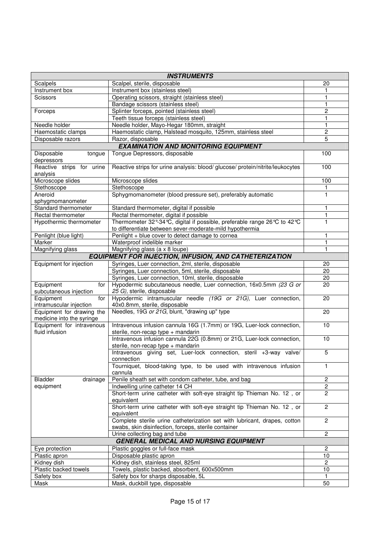| <b>INSTRUMENTS</b>                                     |                                                                                                              |                    |  |  |  |
|--------------------------------------------------------|--------------------------------------------------------------------------------------------------------------|--------------------|--|--|--|
| Scalpels                                               | Scalpel, sterile, disposable                                                                                 | 20                 |  |  |  |
| Instrument box                                         | Instrument box (stainless steel)                                                                             | 1                  |  |  |  |
| <b>Scissors</b>                                        | Operating scissors, straight (stainless steel)                                                               | 1                  |  |  |  |
|                                                        | Bandage scissors (stainless steel)                                                                           | 1                  |  |  |  |
| Forceps                                                | Splinter forceps, pointed (stainless steel)                                                                  | $\overline{c}$     |  |  |  |
|                                                        | Teeth tissue forceps (stainless steel)                                                                       | 1                  |  |  |  |
| Needle holder                                          | Needle holder, Mayo-Hegar 180mm, straight                                                                    | 1                  |  |  |  |
| Haemostatic clamps                                     | Haemostatic clamp, Halstead mosquito, 125mm, stainless steel                                                 | 2                  |  |  |  |
| Disposable razors                                      | Razor, disposable                                                                                            | 5                  |  |  |  |
|                                                        | <b>EXAMINATION AND MONITORING EQUIPMENT</b>                                                                  |                    |  |  |  |
| Disposable<br>tongue<br>depressors                     | Tongue Depressors, disposable                                                                                | 100                |  |  |  |
| Reactive strips for urine<br>analysis                  | Reactive strips for urine analysis: blood/ glucose/ protein/nitrite/leukocytes                               | 100                |  |  |  |
| Microscope slides                                      | Microscope slides                                                                                            | 100                |  |  |  |
| Stethoscope                                            | Stethoscope                                                                                                  | 1                  |  |  |  |
| Aneroid                                                | Sphygmomanometer (blood pressure set), preferably automatic                                                  | 1                  |  |  |  |
| sphygmomanometer                                       |                                                                                                              |                    |  |  |  |
| Standard thermometer                                   | Standard thermometer, digital if possible                                                                    | 1                  |  |  |  |
| Rectal thermometer                                     | Rectal thermometer, digital if possible                                                                      | 1                  |  |  |  |
| Hypothermic thermometer                                | Thermometer 32°-34℃, digital if possible, preferable range 26℃ to 42℃                                        | 1                  |  |  |  |
|                                                        | to differentiate between sever-moderate-mild hypothermia                                                     |                    |  |  |  |
| Penlight (blue light)                                  | Penlight + blue cover to detect damage to cornea                                                             | 1                  |  |  |  |
| Marker                                                 | Waterproof indelible marker                                                                                  | 1                  |  |  |  |
| Magnifying glass                                       | Magnifying glass (a x 8 loupe)                                                                               |                    |  |  |  |
|                                                        | <b>EQUIPMENT FOR INJECTION, INFUSION, AND CATHETERIZATION</b>                                                |                    |  |  |  |
| Equipment for injection                                | Syringes, Luer connection, 2ml, sterile, disposable                                                          | 20                 |  |  |  |
|                                                        | Syringes, Luer connection, 5ml, sterile, disposable                                                          | 20                 |  |  |  |
|                                                        | Syringes, Luer connection, 10ml, sterile, disposable                                                         | 20                 |  |  |  |
| Equipment<br>for<br>subcutaneous injection             | Hypodermic subcutaneous needle, Luer connection, 16x0.5mm (23 G or<br>25 G), sterile, disposable             | 20                 |  |  |  |
| Equipment<br>for<br>intramuscular injection            | Hypodermic intramuscular needle (19G or 21G), Luer connection,<br>40x0.8mm, sterile, disposable              | 20                 |  |  |  |
| Equipment for drawing the<br>medicine into the syringe | Needles, 19G or 21G, blunt, "drawing up" type                                                                | 20                 |  |  |  |
| Equipment for intravenous                              | Intravenous infusion cannula 16G (1.7mm) or 19G, Luer-lock connection,                                       | 10                 |  |  |  |
| fluid infusion                                         | sterile, non-recap type + mandarin                                                                           |                    |  |  |  |
|                                                        | Intravenous infusion cannula 22G (0.8mm) or 21G, Luer-lock connection,<br>sterile, non-recap type + mandarin | 10                 |  |  |  |
|                                                        | Intravenous giving set, Luer-lock connection, steril +3-way valve/<br>connection                             | 5                  |  |  |  |
|                                                        | Tourniquet, blood-taking type, to be used with intravenous infusion<br>cannula                               | 1                  |  |  |  |
| <b>Bladder</b><br>drainage                             | Penile sheath set with condom catheter, tube, and bag                                                        | 2                  |  |  |  |
| equipment                                              | Indwelling urine catheter 14 CH                                                                              | $\boldsymbol{2}$   |  |  |  |
|                                                        | Short-term urine catheter with soft-eye straight tip Thieman No. 12, or                                      | $\overline{2}$     |  |  |  |
|                                                        | equivalent<br>Short-term urine catheter with soft-eye straight tip Thieman No. 12, or                        | $\overline{2}$     |  |  |  |
|                                                        | equivalent<br>Complete sterile urine catheterization set with lubricant, drapes, cotton                      | $\mathbf{2}$       |  |  |  |
|                                                        | swabs, skin disinfection, forceps, sterile container                                                         |                    |  |  |  |
|                                                        | Urine collecting bag and tube<br><b>GENERAL MEDICAL AND NURSING EQUIPMENT</b>                                | $\overline{c}$     |  |  |  |
|                                                        |                                                                                                              |                    |  |  |  |
| Eye protection                                         | Plastic goggles or full-face mask                                                                            | $\overline{c}$     |  |  |  |
| Plastic apron<br>Kidney dish                           | Disposable plastic apron<br>Kidney dish, stainless steel, 825ml                                              | 10<br>$\mathbf{2}$ |  |  |  |
| Plastic backed towels                                  |                                                                                                              | 10                 |  |  |  |
| Safety box                                             | Towels, plastic backed, absorbent, 600x500mm<br>Safety box for sharps disposable, 5L                         | $\mathbf{1}$       |  |  |  |
| Mask                                                   | Mask, duckbill type, disposable                                                                              | 50                 |  |  |  |
|                                                        |                                                                                                              |                    |  |  |  |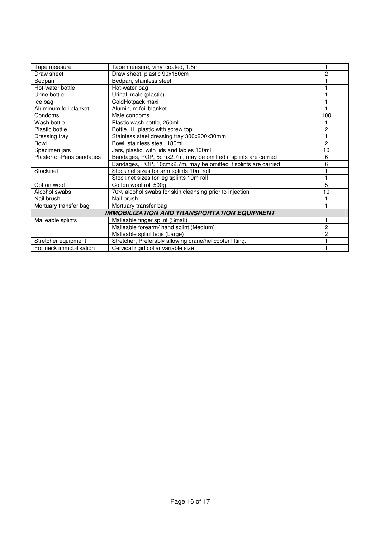| Tape measure              | Tape measure, vinyl coated, 1.5m                                |                |
|---------------------------|-----------------------------------------------------------------|----------------|
| Draw sheet                | Draw sheet, plastic 90x180cm                                    | 2              |
| Bedpan                    | Bedpan, stainless steel                                         |                |
| Hot-water bottle          | Hot-water bag                                                   |                |
| Urine bottle              | Urinal, male (plastic)                                          |                |
| Ice bag                   | ColdHotpack maxi                                                |                |
| Aluminum foil blanket     | Aluminum foil blanket                                           |                |
| Condoms                   | Male condoms                                                    | 100            |
| Wash bottle               | Plastic wash bottle, 250ml                                      |                |
| <b>Plastic bottle</b>     | Bottle, 1L plastic with screw top                               | 2              |
| Dressing tray             | Stainless steel dressing tray 300x200x30mm                      |                |
| Bowl                      | Bowl, stainless steal, 180ml                                    | 2              |
| Specimen jars             | Jars, plastic, with lids and lables 100ml                       | 10             |
| Plaster-of-Paris bandages | Bandages, POP, 5cmx2.7m, may be omitted if splints are carried  | 6              |
|                           | Bandages, POP, 10cmx2.7m, may be omitted if splints are carried | 6              |
| Stockinet                 | Stockinet sizes for arm splints 10m roll                        |                |
|                           | Stockinet sizes for leg splints 10m roll                        |                |
| Cotton wool               | Cotton wool roll 500g                                           | 5              |
| Alcohol swabs             | 70% alcohol swabs for skin cleansing prior to injection         | 10             |
| Nail brush                | Nail brush                                                      |                |
| Mortuary transfer bag     | Mortuary transfer bag                                           |                |
|                           | <b>IMMOBILIZATION AND TRANSPORTATION EQUIPMENT</b>              |                |
| Malleable splints         | Malleable finger splint (Small)                                 |                |
|                           | Malleable forearm/ hand splint (Medium)                         | $\overline{c}$ |
|                           | Malleable splint legs (Large)                                   | 2              |
| Stretcher equipment       | Stretcher, Preferably allowing crane/helicopter lifting.        |                |
| For neck immobilisation   | Cervical rigid collar variable size                             |                |